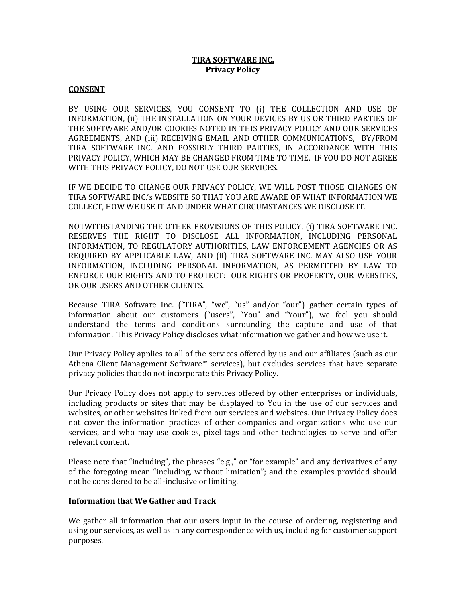# **TIRA SOFTWARE INC. Privacy Policy**

#### **CONSENT**

BY USING OUR SERVICES, YOU CONSENT TO (i) THE COLLECTION AND USE OF INFORMATION, (ii) THE INSTALLATION ON YOUR DEVICES BY US OR THIRD PARTIES OF THE SOFTWARE AND/OR COOKIES NOTED IN THIS PRIVACY POLICY AND OUR SERVICES AGREEMENTS, AND (iii) RECEIVING EMAIL AND OTHER COMMUNICATIONS, BY/FROM TIRA SOFTWARE INC. AND POSSIBLY THIRD PARTIES, IN ACCORDANCE WITH THIS PRIVACY POLICY, WHICH MAY BE CHANGED FROM TIME TO TIME. IF YOU DO NOT AGREE WITH THIS PRIVACY POLICY, DO NOT USE OUR SERVICES.

IF WE DECIDE TO CHANGE OUR PRIVACY POLICY, WE WILL POST THOSE CHANGES ON TIRA SOFTWARE INC.'s WEBSITE SO THAT YOU ARE AWARE OF WHAT INFORMATION WE COLLECT, HOW WE USE IT AND UNDER WHAT CIRCUMSTANCES WE DISCLOSE IT.

NOTWITHSTANDING THE OTHER PROVISIONS OF THIS POLICY, (i) TIRA SOFTWARE INC. RESERVES THE RIGHT TO DISCLOSE ALL INFORMATION, INCLUDING PERSONAL INFORMATION, TO REGULATORY AUTHORITIES, LAW ENFORCEMENT AGENCIES OR AS REQUIRED BY APPLICABLE LAW, AND (ii) TIRA SOFTWARE INC. MAY ALSO USE YOUR INFORMATION, INCLUDING PERSONAL INFORMATION, AS PERMITTED BY LAW TO ENFORCE OUR RIGHTS AND TO PROTECT: OUR RIGHTS OR PROPERTY, OUR WEBSITES, OR OUR USERS AND OTHER CLIENTS.

Because TIRA Software Inc. ("TIRA", "we", "us" and/or "our") gather certain types of information about our customers ("users", "You" and "Your"), we feel you should understand the terms and conditions surrounding the capture and use of that information. This Privacy Policy discloses what information we gather and how we use it.

Our Privacy Policy applies to all of the services offered by us and our affiliates (such as our Athena Client Management Software™ services), but excludes services that have separate privacy policies that do not incorporate this Privacy Policy.

Our Privacy Policy does not apply to services offered by other enterprises or individuals, including products or sites that may be displayed to You in the use of our services and websites, or other websites linked from our services and websites. Our Privacy Policy does not cover the information practices of other companies and organizations who use our services, and who may use cookies, pixel tags and other technologies to serve and offer relevant content.

Please note that "including", the phrases "e.g.," or "for example" and any derivatives of any of the foregoing mean "including, without limitation"; and the examples provided should not be considered to be all-inclusive or limiting.

### **Information that We Gather and Track**

We gather all information that our users input in the course of ordering, registering and using our services, as well as in any correspondence with us, including for customer support purposes.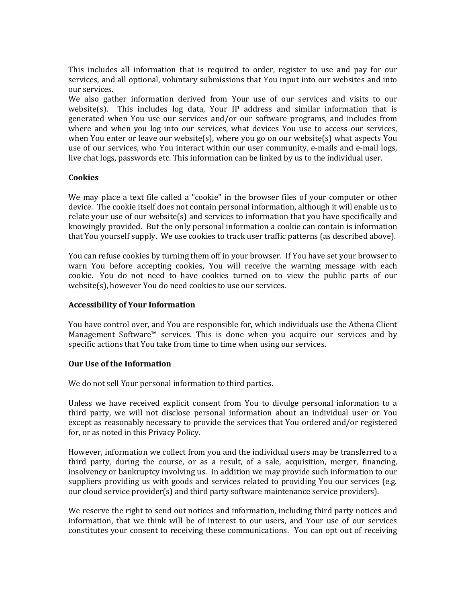This includes all information that is required to order, register to use and pay for our services, and all optional, voluntary submissions that You input into our websites and into our services.

We also gather information derived from Your use of our services and visits to our website(s). This includes log data, Your IP address and similar information that is generated when You use our services and/or our software programs, and includes from where and when you log into our services, what devices You use to access our services, when You enter or leave our website(s), where you go on our website(s) what aspects You use of our services, who You interact within our user community, e-mails and e-mail logs, live chat logs, passwords etc. This information can be linked by us to the individual user.

# **Cookies**

We may place a text file called a "cookie" in the browser files of your computer or other device. The cookie itself does not contain personal information, although it will enable us to relate your use of our website(s) and services to information that you have specifically and knowingly provided. But the only personal information a cookie can contain is information that You yourself supply. We use cookies to track user traffic patterns (as described above).

You can refuse cookies by turning them off in your browser. If You have set your browser to warn You before accepting cookies, You will receive the warning message with each cookie. You do not need to have cookies turned on to view the public parts of our website(s), however You do need cookies to use our services.

### **Accessibility of Your Information**

You have control over, and You are responsible for, which individuals use the Athena Client Management Software™ services. This is done when you acquire our services and by specific actions that You take from time to time when using our services.

### **Our Use of the Information**

We do not sell Your personal information to third parties.

Unless we have received explicit consent from You to divulge personal information to a third party, we will not disclose personal information about an individual user or You except as reasonably necessary to provide the services that You ordered and/or registered for, or as noted in this Privacy Policy.

However, information we collect from you and the individual users may be transferred to a third party, during the course, or as a result, of a sale, acquisition, merger, financing, insolvency or bankruptcy involving us. In addition we may provide such information to our suppliers providing us with goods and services related to providing You our services (e.g. our cloud service provider(s) and third party software maintenance service providers).

We reserve the right to send out notices and information, including third party notices and information, that we think will be of interest to our users, and Your use of our services constitutes your consent to receiving these communications. You can opt out of receiving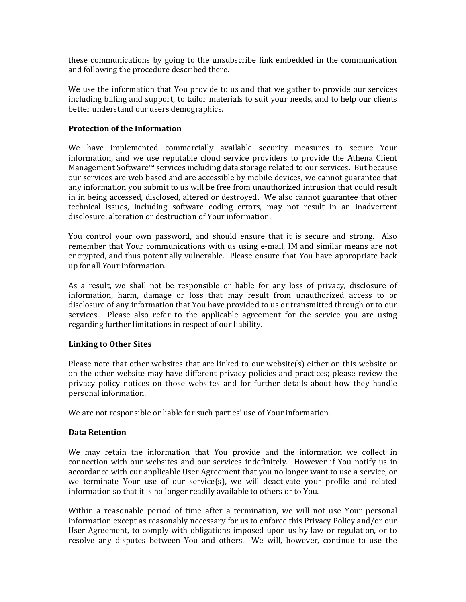these communications by going to the unsubscribe link embedded in the communication and following the procedure described there.

We use the information that You provide to us and that we gather to provide our services including billing and support, to tailor materials to suit your needs, and to help our clients better understand our users demographics.

### **Protection of the Information**

We have implemented commercially available security measures to secure Your information, and we use reputable cloud service providers to provide the Athena Client Management Software™ services including data storage related to our services. But because our services are web based and are accessible by mobile devices, we cannot guarantee that any information you submit to us will be free from unauthorized intrusion that could result in in being accessed, disclosed, altered or destroyed. We also cannot guarantee that other technical issues, including software coding errors, may not result in an inadvertent disclosure, alteration or destruction of Your information.

You control your own password, and should ensure that it is secure and strong. Also remember that Your communications with us using e-mail, IM and similar means are not encrypted, and thus potentially vulnerable. Please ensure that You have appropriate back up for all Your information.

As a result, we shall not be responsible or liable for any loss of privacy, disclosure of information, harm, damage or loss that may result from unauthorized access to or disclosure of any information that You have provided to us or transmitted through or to our services. Please also refer to the applicable agreement for the service you are using regarding further limitations in respect of our liability.

### **Linking to Other Sites**

Please note that other websites that are linked to our website(s) either on this website or on the other website may have different privacy policies and practices; please review the privacy policy notices on those websites and for further details about how they handle personal information.

We are not responsible or liable for such parties' use of Your information.

### **Data Retention**

We may retain the information that You provide and the information we collect in connection with our websites and our services indefinitely. However if You notify us in accordance with our applicable User Agreement that you no longer want to use a service, or we terminate Your use of our service(s), we will deactivate your profile and related information so that it is no longer readily available to others or to You.

Within a reasonable period of time after a termination, we will not use Your personal information except as reasonably necessary for us to enforce this Privacy Policy and/or our User Agreement, to comply with obligations imposed upon us by law or regulation, or to resolve any disputes between You and others. We will, however, continue to use the